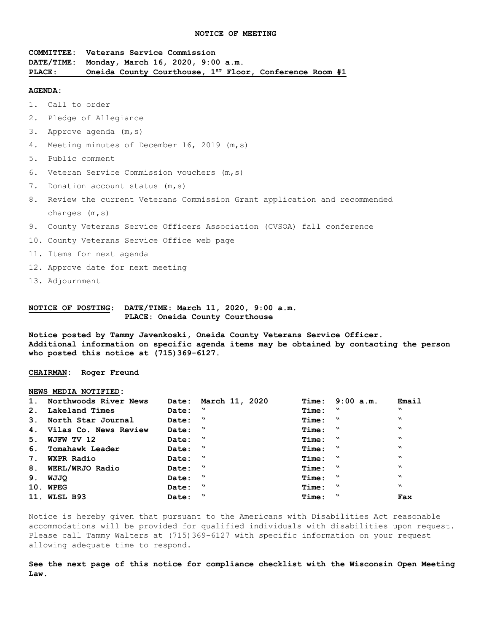**COMMITTEE: Veterans Service Commission DATE/TIME: Monday, March 16, 2020, 9:00 a.m. PLACE: Oneida County Courthouse, 1ST Floor, Conference Room #1**

#### **AGENDA:**

1. Call to order

- 2. Pledge of Allegiance
- 3. Approve agenda (m,s)
- 4. Meeting minutes of December 16, 2019 (m,s)
- 5. Public comment
- 6. Veteran Service Commission vouchers (m,s)
- 7. Donation account status (m, s)
- 8. Review the current Veterans Commission Grant application and recommended changes (m,s)
- 9. County Veterans Service Officers Association (CVSOA) fall conference
- 10. County Veterans Service Office web page
- 11. Items for next agenda
- 12. Approve date for next meeting
- 13. Adjournment

# **NOTICE OF POSTING: DATE/TIME: March 11, 2020, 9:00 a.m. PLACE: Oneida County Courthouse**

**Notice posted by Tammy Javenkoski, Oneida County Veterans Service Officer. Additional information on specific agenda items may be obtained by contacting the person who posted this notice at (715)369-6127.**

**CHAIRMAN: Roger Freund**

#### **NEWS MEDIA NOTIFIED:**

| 1. Northwoods River News |         | Date: March 11, 2020 |             | Time: 9:00 a.m. | Email                     |
|--------------------------|---------|----------------------|-------------|-----------------|---------------------------|
| 2. Lakeland Times        | Date: " |                      | Time: "     |                 | w                         |
| 3. North Star Journal    | Date: " |                      | Time: "     |                 | $\boldsymbol{\mathsf{M}}$ |
| 4. Vilas Co. News Review | Date: " |                      | Time: "     |                 | $\boldsymbol{M}$          |
| 5. WJFW TV 12            | Date: " |                      | Time: "     |                 | $\mathbf{v}$              |
| 6. Tomahawk Leader       | Date: " |                      | $Time:$ $N$ |                 | $\boldsymbol{\mathsf{v}}$ |
| 7. WXPR Radio            | Date: " |                      | $Time:$ $N$ |                 | $\mathbf{v}$              |
| 8. WERL/WRJO Radio       | Date: " |                      | Time: "     |                 | $\mathbf{v}$              |
| 9. WJJQ                  | Date: " |                      | $Time:$ $N$ |                 | $\mathbf{v}$              |
| 10. WPEG                 | Date: " |                      | $Time:$ $"$ |                 | $\mathbf{v}$              |
| 11. WLSL B93             | Date: " |                      | $Time:$ $"$ |                 | Fax                       |

Notice is hereby given that pursuant to the Americans with Disabilities Act reasonable accommodations will be provided for qualified individuals with disabilities upon request. Please call Tammy Walters at (715)369-6127 with specific information on your request allowing adequate time to respond.

**See the next page of this notice for compliance checklist with the Wisconsin Open Meeting Law.**